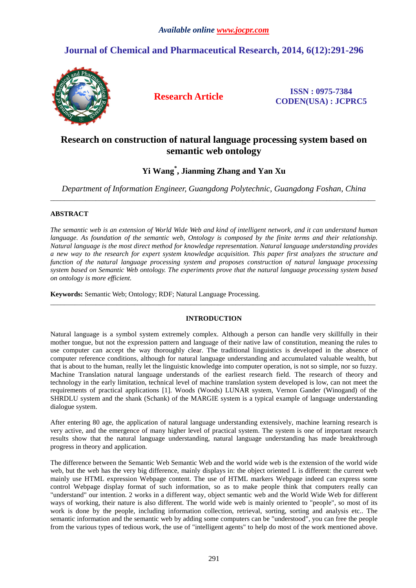# **Journal of Chemical and Pharmaceutical Research, 2014, 6(12):291-296**



**Research Article ISSN : 0975-7384 CODEN(USA) : JCPRC5**

# **Research on construction of natural language processing system based on semantic web ontology**

## **Yi Wang\* , Jianming Zhang and Yan Xu**

*Department of Information Engineer, Guangdong Polytechnic, Guangdong Foshan, China*  \_\_\_\_\_\_\_\_\_\_\_\_\_\_\_\_\_\_\_\_\_\_\_\_\_\_\_\_\_\_\_\_\_\_\_\_\_\_\_\_\_\_\_\_\_\_\_\_\_\_\_\_\_\_\_\_\_\_\_\_\_\_\_\_\_\_\_\_\_\_\_\_\_\_\_\_\_\_\_\_\_\_\_\_\_\_\_\_\_\_\_\_\_

### **ABSTRACT**

*The semantic web is an extension of World Wide Web and kind of intelligent network, and it can understand human*  language. As foundation of the semantic web, Ontology is composed by the finite terms and their relationship. *Natural language is the most direct method for knowledge representation. Natural language understanding provides a new way to the research for expert system knowledge acquisition. This paper first analyzes the structure and function of the natural language processing system and proposes construction of natural language processing system based on Semantic Web ontology. The experiments prove that the natural language processing system based on ontology is more efficient.* 

**Keywords:** Semantic Web; Ontology; RDF; Natural Language Processing.

### **INTRODUCTION**

\_\_\_\_\_\_\_\_\_\_\_\_\_\_\_\_\_\_\_\_\_\_\_\_\_\_\_\_\_\_\_\_\_\_\_\_\_\_\_\_\_\_\_\_\_\_\_\_\_\_\_\_\_\_\_\_\_\_\_\_\_\_\_\_\_\_\_\_\_\_\_\_\_\_\_\_\_\_\_\_\_\_\_\_\_\_\_\_\_\_\_\_\_

Natural language is a symbol system extremely complex. Although a person can handle very skillfully in their mother tongue, but not the expression pattern and language of their native law of constitution, meaning the rules to use computer can accept the way thoroughly clear. The traditional linguistics is developed in the absence of computer reference conditions, although for natural language understanding and accumulated valuable wealth, but that is about to the human, really let the linguistic knowledge into computer operation, is not so simple, nor so fuzzy. Machine Translation natural language understands of the earliest research field. The research of theory and technology in the early limitation, technical level of machine translation system developed is low, can not meet the requirements of practical applications [1]. Woods (Woods) LUNAR system, Vernon Gander (Winogand) of the SHRDLU system and the shank (Schank) of the MARGIE system is a typical example of language understanding dialogue system.

After entering 80 age, the application of natural language understanding extensively, machine learning research is very active, and the emergence of many higher level of practical system. The system is one of important research results show that the natural language understanding, natural language understanding has made breakthrough progress in theory and application.

The difference between the Semantic Web Semantic Web and the world wide web is the extension of the world wide web, but the web has the very big difference, mainly displays in: the object oriented L is different: the current web mainly use HTML expression Webpage content. The use of HTML markers Webpage indeed can express some control Webpage display format of such information, so as to make people think that computers really can "understand" our intention. 2 works in a different way, object semantic web and the World Wide Web for different ways of working, their nature is also different. The world wide web is mainly oriented to "people", so most of its work is done by the people, including information collection, retrieval, sorting, sorting and analysis etc.. The semantic information and the semantic web by adding some computers can be "understood", you can free the people from the various types of tedious work, the use of "intelligent agents" to help do most of the work mentioned above.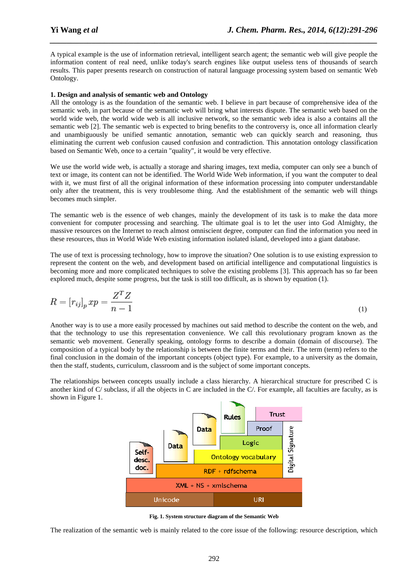A typical example is the use of information retrieval, intelligent search agent; the semantic web will give people the information content of real need, unlike today's search engines like output useless tens of thousands of search results. This paper presents research on construction of natural language processing system based on semantic Web Ontology.

*\_\_\_\_\_\_\_\_\_\_\_\_\_\_\_\_\_\_\_\_\_\_\_\_\_\_\_\_\_\_\_\_\_\_\_\_\_\_\_\_\_\_\_\_\_\_\_\_\_\_\_\_\_\_\_\_\_\_\_\_\_\_\_\_\_\_\_\_\_\_\_\_\_\_\_\_\_\_*

#### **1. Design and analysis of semantic web and Ontology**

All the ontology is as the foundation of the semantic web. I believe in part because of comprehensive idea of the semantic web, in part because of the semantic web will bring what interests dispute. The semantic web based on the world wide web, the world wide web is all inclusive network, so the semantic web idea is also a contains all the semantic web [2]. The semantic web is expected to bring benefits to the controversy is, once all information clearly and unambiguously be unified semantic annotation, semantic web can quickly search and reasoning, thus eliminating the current web confusion caused confusion and contradiction. This annotation ontology classification based on Semantic Web, once to a certain "quality", it would be very effective.

We use the world wide web, is actually a storage and sharing images, text media, computer can only see a bunch of text or image, its content can not be identified. The World Wide Web information, if you want the computer to deal with it, we must first of all the original information of these information processing into computer understandable only after the treatment, this is very troublesome thing. And the establishment of the semantic web will things becomes much simpler.

The semantic web is the essence of web changes, mainly the development of its task is to make the data more convenient for computer processing and searching. The ultimate goal is to let the user into God Almighty, the massive resources on the Internet to reach almost omniscient degree, computer can find the information you need in these resources, thus in World Wide Web existing information isolated island, developed into a giant database.

The use of text is processing technology, how to improve the situation? One solution is to use existing expression to represent the content on the web, and development based on artificial intelligence and computational linguistics is becoming more and more complicated techniques to solve the existing problems [3]. This approach has so far been explored much, despite some progress, but the task is still too difficult, as is shown by equation (1).

$$
R = [r_{ij}]_p x p = \frac{Z^T Z}{n - 1}
$$
\n<sup>(1)</sup>

Another way is to use a more easily processed by machines out said method to describe the content on the web, and that the technology to use this representation convenience. We call this revolutionary program known as the semantic web movement. Generally speaking, ontology forms to describe a domain (domain of discourse). The composition of a typical body by the relationship is between the finite terms and their. The term (term) refers to the final conclusion in the domain of the important concepts (object type). For example, to a university as the domain, then the staff, students, curriculum, classroom and is the subject of some important concepts.

The relationships between concepts usually include a class hierarchy. A hierarchical structure for prescribed C is another kind of C/ subclass, if all the objects in C are included in the C/. For example, all faculties are faculty, as is shown in Figure 1.



**Fig. 1. System structure diagram of the Semantic Web** 

The realization of the semantic web is mainly related to the core issue of the following: resource description, which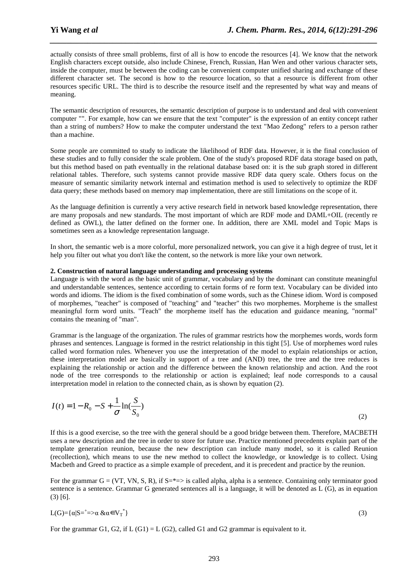actually consists of three small problems, first of all is how to encode the resources [4]. We know that the network English characters except outside, also include Chinese, French, Russian, Han Wen and other various character sets, inside the computer, must be between the coding can be convenient computer unified sharing and exchange of these different character set. The second is how to the resource location, so that a resource is different from other resources specific URL. The third is to describe the resource itself and the represented by what way and means of meaning.

*\_\_\_\_\_\_\_\_\_\_\_\_\_\_\_\_\_\_\_\_\_\_\_\_\_\_\_\_\_\_\_\_\_\_\_\_\_\_\_\_\_\_\_\_\_\_\_\_\_\_\_\_\_\_\_\_\_\_\_\_\_\_\_\_\_\_\_\_\_\_\_\_\_\_\_\_\_\_*

The semantic description of resources, the semantic description of purpose is to understand and deal with convenient computer "". For example, how can we ensure that the text "computer" is the expression of an entity concept rather than a string of numbers? How to make the computer understand the text "Mao Zedong" refers to a person rather than a machine.

Some people are committed to study to indicate the likelihood of RDF data. However, it is the final conclusion of these studies and to fully consider the scale problem. One of the study's proposed RDF data storage based on path, but this method based on path eventually in the relational database based on: it is the sub graph stored in different relational tables. Therefore, such systems cannot provide massive RDF data query scale. Others focus on the measure of semantic similarity network internal and estimation method is used to selectively to optimize the RDF data query; these methods based on memory map implementation, there are still limitations on the scope of it.

As the language definition is currently a very active research field in network based knowledge representation, there are many proposals and new standards. The most important of which are RDF mode and DAML+OIL (recently re defined as OWL), the latter defined on the former one. In addition, there are XML model and Topic Maps is sometimes seen as a knowledge representation language.

In short, the semantic web is a more colorful, more personalized network, you can give it a high degree of trust, let it help you filter out what you don't like the content, so the network is more like your own network.

#### **2. Construction of natural language understanding and processing systems**

Language is with the word as the basic unit of grammar, vocabulary and by the dominant can constitute meaningful and understandable sentences, sentence according to certain forms of re form text. Vocabulary can be divided into words and idioms. The idiom is the fixed combination of some words, such as the Chinese idiom. Word is composed of morphemes, "teacher" is composed of "teaching" and "teacher" this two morphemes. Morpheme is the smallest meaningful form word units. "Teach" the morpheme itself has the education and guidance meaning, "normal" contains the meaning of "man".

Grammar is the language of the organization. The rules of grammar restricts how the morphemes words, words form phrases and sentences. Language is formed in the restrict relationship in this tight [5]. Use of morphemes word rules called word formation rules. Whenever you use the interpretation of the model to explain relationships or action, these interpretation model are basically in support of a tree and (AND) tree, the tree and the tree reduces is explaining the relationship or action and the difference between the known relationship and action. And the root node of the tree corresponds to the relationship or action is explained; leaf node corresponds to a causal interpretation model in relation to the connected chain, as is shown by equation (2).

$$
I(t) = 1 - R_0 - S + \frac{1}{\sigma} \ln(\frac{S}{S_0})
$$
\n(2)

If this is a good exercise, so the tree with the general should be a good bridge between them. Therefore, MACBETH uses a new description and the tree in order to store for future use. Practice mentioned precedents explain part of the template generation reunion, because the new description can include many model, so it is called Reunion (recollection), which means to use the new method to collect the knowledge, or knowledge is to collect. Using Macbeth and Greed to practice as a simple example of precedent, and it is precedent and practice by the reunion.

For the grammar  $G = (VT, VN, S, R)$ , if  $S = \pm 1$  is called alpha, alpha is a sentence. Containing only terminator good sentence is a sentence. Grammar G generated sentences all is a language, it will be denoted as L (G), as in equation (3) [6].

$$
L(G) = \{ \alpha | S = \dagger \implies \alpha \& \alpha \in V_{T}^* \} \tag{3}
$$

For the grammar G1, G2, if  $L(G1) = L(G2)$ , called G1 and G2 grammar is equivalent to it.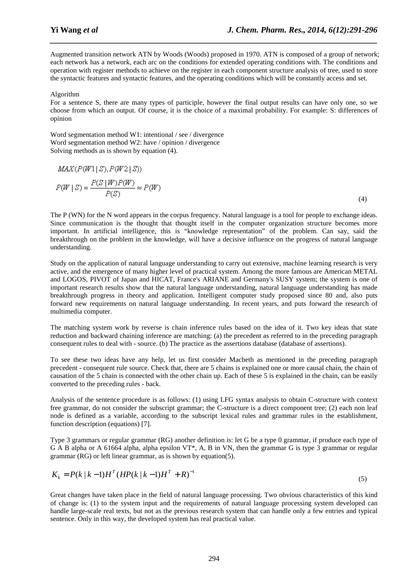Augmented transition network ATN by Woods (Woods) proposed in 1970. ATN is composed of a group of network; each network has a network, each arc on the conditions for extended operating conditions with. The conditions and operation with register methods to achieve on the register in each component structure analysis of tree, used to store the syntactic features and syntactic features, and the operating conditions which will be constantly access and set.

*\_\_\_\_\_\_\_\_\_\_\_\_\_\_\_\_\_\_\_\_\_\_\_\_\_\_\_\_\_\_\_\_\_\_\_\_\_\_\_\_\_\_\_\_\_\_\_\_\_\_\_\_\_\_\_\_\_\_\_\_\_\_\_\_\_\_\_\_\_\_\_\_\_\_\_\_\_\_*

#### Algorithm

For a sentence S, there are many types of participle, however the final output results can have only one, so we choose from which an output. Of course, it is the choice of a maximal probability. For example: S: differences of opinion

Word segmentation method W1: intentional / see / divergence Word segmentation method W2: have / opinion / divergence Solving methods as is shown by equation (4).

$$
MAX(P(W1|S), P(W2|S))
$$
  

$$
P(W|S) = \frac{P(S|W)P(W)}{P(S)} \approx P(W)
$$
 (4)

The P (WN) for the N word appears in the corpus frequency. Natural language is a tool for people to exchange ideas. Since communication is the thought that thought itself in the computer organization structure becomes more important. In artificial intelligence, this is "knowledge representation" of the problem. Can say, said the breakthrough on the problem in the knowledge, will have a decisive influence on the progress of natural language understanding.

Study on the application of natural language understanding to carry out extensive, machine learning research is very active, and the emergence of many higher level of practical system. Among the more famous are American METAL and LOGOS, PIVOT of Japan and HICAT, France's ARIANE and Germany's SUSY system; the system is one of important research results show that the natural language understanding, natural language understanding has made breakthrough progress in theory and application. Intelligent computer study proposed since 80 and, also puts forward new requirements on natural language understanding. In recent years, and puts forward the research of multimedia computer.

The matching system work by reverse is chain inference rules based on the idea of it. Two key ideas that state reduction and backward chaining inference are matching: (a) the precedent as referred to in the preceding paragraph consequent rules to deal with - source. (b) The practice as the assertions database (database of assertions).

To see these two ideas have any help, let us first consider Macbeth as mentioned in the preceding paragraph precedent - consequent rule source. Check that, there are 5 chains is explained one or more causal chain, the chain of causation of the 5 chain is connected with the other chain up. Each of these 5 is explained in the chain, can be easily converted to the preceding rules - back.

Analysis of the sentence procedure is as follows: (1) using LFG syntax analysis to obtain C-structure with context free grammar, do not consider the subscript grammar; the C-structure is a direct component tree; (2) each non leaf node is defined as a variable, according to the subscript lexical rules and grammar rules in the establishment, function description (equations) [7].

Type 3 grammars or regular grammar (RG) another definition is: let G be a type 0 grammar, if produce each type of G A B alpha or A 61664 alpha, alpha epsilon VT<sup>\*</sup>, A, B in VN, then the grammar G is type 3 grammar or regular grammar (RG) or left linear grammar, as is shown by equation(5).

$$
K_k = P(k | k - 1)H^T (HP(k | k - 1)H^T + R)^{-1}
$$
\n<sup>(5)</sup>

Great changes have taken place in the field of natural language processing. Two obvious characteristics of this kind of change is: (1) to the system input and the requirements of natural language processing system developed can handle large-scale real texts, but not as the previous research system that can handle only a few entries and typical sentence. Only in this way, the developed system has real practical value.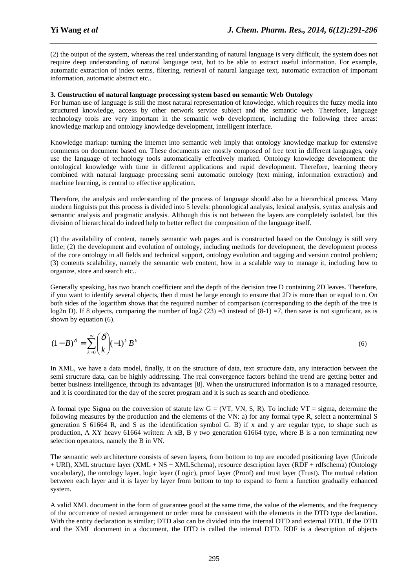(2) the output of the system, whereas the real understanding of natural language is very difficult, the system does not require deep understanding of natural language text, but to be able to extract useful information. For example, automatic extraction of index terms, filtering, retrieval of natural language text, automatic extraction of important information, automatic abstract etc..

*\_\_\_\_\_\_\_\_\_\_\_\_\_\_\_\_\_\_\_\_\_\_\_\_\_\_\_\_\_\_\_\_\_\_\_\_\_\_\_\_\_\_\_\_\_\_\_\_\_\_\_\_\_\_\_\_\_\_\_\_\_\_\_\_\_\_\_\_\_\_\_\_\_\_\_\_\_\_*

#### **3. Construction of natural language processing system based on semantic Web Ontology**

For human use of language is still the most natural representation of knowledge, which requires the fuzzy media into structured knowledge, access by other network service subject and the semantic web. Therefore, language technology tools are very important in the semantic web development, including the following three areas: knowledge markup and ontology knowledge development, intelligent interface.

Knowledge markup: turning the Internet into semantic web imply that ontology knowledge markup for extensive comments on document based on. These documents are mostly composed of free text in different languages, only use the language of technology tools automatically effectively marked. Ontology knowledge development: the ontological knowledge with time in different applications and rapid development. Therefore, learning theory combined with natural language processing semi automatic ontology (text mining, information extraction) and machine learning, is central to effective application.

Therefore, the analysis and understanding of the process of language should also be a hierarchical process. Many modern linguists put this process is divided into 5 levels: phonological analysis, lexical analysis, syntax analysis and semantic analysis and pragmatic analysis. Although this is not between the layers are completely isolated, but this division of hierarchical do indeed help to better reflect the composition of the language itself.

(1) the availability of content, namely semantic web pages and is constructed based on the Ontology is still very little; (2) the development and evolution of ontology, including methods for development, the development process of the core ontology in all fields and technical support, ontology evolution and tagging and version control problem; (3) contents scalability, namely the semantic web content, how in a scalable way to manage it, including how to organize, store and search etc..

Generally speaking, has two branch coefficient and the depth of the decision tree D containing 2D leaves. Therefore, if you want to identify several objects, then d must be large enough to ensure that 2D is more than or equal to n. On both sides of the logarithm shows that the required number of comparison (corresponding to the depth of the tree is log2n D). If 8 objects, comparing the number of log2 (23) =3 instead of  $(8-1)$  =7, then save is not significant, as is shown by equation (6).

$$
(1-B)^{\delta} = \sum_{k=0}^{\infty} {\delta \choose k} (-1)^k B^k
$$
 (6)

In XML, we have a data model, finally, it on the structure of data, text structure data, any interaction between the semi structure data, can be highly addressing. The real convergence factors behind the trend are getting better and better business intelligence, through its advantages [8]. When the unstructured information is to a managed resource, and it is coordinated for the day of the secret program and it is such as search and obedience.

A formal type Sigma on the conversion of statute law  $G = (VT, VN, S, R)$ . To include  $VT = sigma$ , determine the following measures by the production and the elements of the VN: a) for any formal type R, select a nonterminal S generation S 61664 R, and S as the identification symbol G. B) if x and y are regular type, to shape such as production, A XY heavy 61664 written: A xB, B y two generation 61664 type, where B is a non terminating new selection operators, namely the B in VN.

The semantic web architecture consists of seven layers, from bottom to top are encoded positioning layer (Unicode + URI), XML structure layer (XML + NS + XMLSchema), resource description layer (RDF + rdfschema) (Ontology vocabulary), the ontology layer, logic layer (Logic), proof layer (Proof) and trust layer (Trust). The mutual relation between each layer and it is layer by layer from bottom to top to expand to form a function gradually enhanced system.

A valid XML document in the form of guarantee good at the same time, the value of the elements, and the frequency of the occurrence of nested arrangement or order must be consistent with the elements in the DTD type declaration. With the entity declaration is similar; DTD also can be divided into the internal DTD and external DTD. If the DTD and the XML document in a document, the DTD is called the internal DTD. RDF is a description of objects